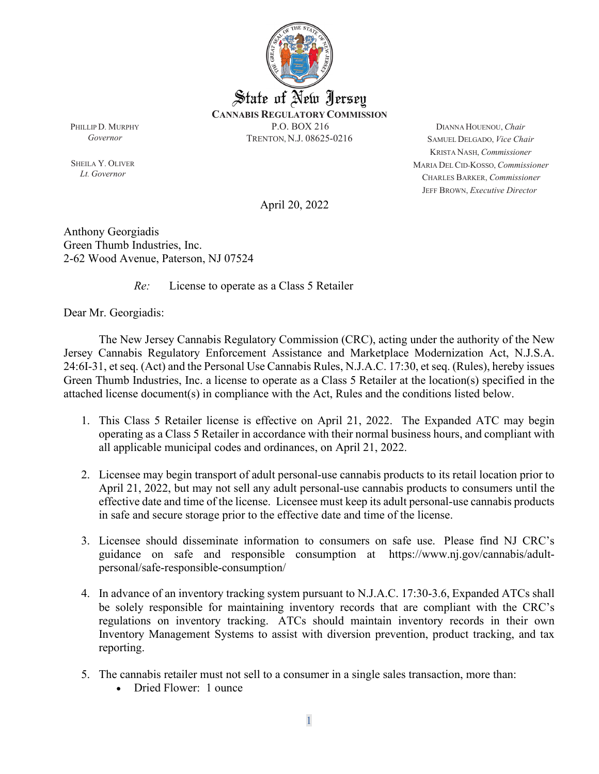

PHILLIP D. MURPHY *Governor*

SHEILA Y. OLIVER *Lt. Governor*

DIANNA HOUENOU, *Chair* SAMUEL DELGADO, *Vice Chair* KRISTA NASH, *Commissioner* MARIA DEL CID-KOSSO, *Commissioner* CHARLES BARKER, *Commissioner* JEFF BROWN, *Executive Director*

April 20, 2022

Anthony Georgiadis Green Thumb Industries, Inc.  2-62 Wood Avenue, Paterson, NJ 07524

*Re:* License to operate as a Class 5 Retailer

Dear Mr. Georgiadis:

The New Jersey Cannabis Regulatory Commission (CRC), acting under the authority of the New Jersey Cannabis Regulatory Enforcement Assistance and Marketplace Modernization Act, N.J.S.A. 24:6I-31, et seq. (Act) and the Personal Use Cannabis Rules, N.J.A.C. 17:30, et seq. (Rules), hereby issues Green Thumb Industries, Inc. a license to operate as a Class 5 Retailer at the location(s) specified in the attached license document(s) in compliance with the Act, Rules and the conditions listed below.

- 1. This Class 5 Retailer license is effective on April 21, 2022. The Expanded ATC may begin operating as a Class 5 Retailer in accordance with their normal business hours, and compliant with all applicable municipal codes and ordinances, on April 21, 2022.
- 2. Licensee may begin transport of adult personal-use cannabis products to its retail location prior to April 21, 2022, but may not sell any adult personal-use cannabis products to consumers until the effective date and time of the license. Licensee must keep its adult personal-use cannabis products in safe and secure storage prior to the effective date and time of the license.
- 3. Licensee should disseminate information to consumers on safe use. Please find NJ CRC's guidance on safe and responsible consumption at [https://www.nj.gov/cannabis/adult](https://www.nj.gov/cannabis/adult-personal/safe-responsible-consumption/)[personal/safe-responsible-consumption/](https://www.nj.gov/cannabis/adult-personal/safe-responsible-consumption/)
- 4. In advance of an inventory tracking system pursuant to N.J.A.C. 17:30-3.6, Expanded ATCs shall be solely responsible for maintaining inventory records that are compliant with the CRC's regulations on inventory tracking. ATCs should maintain inventory records in their own Inventory Management Systems to assist with diversion prevention, product tracking, and tax reporting.
- 5. The cannabis retailer must not sell to a consumer in a single sales transaction, more than:
	- Dried Flower: 1 ounce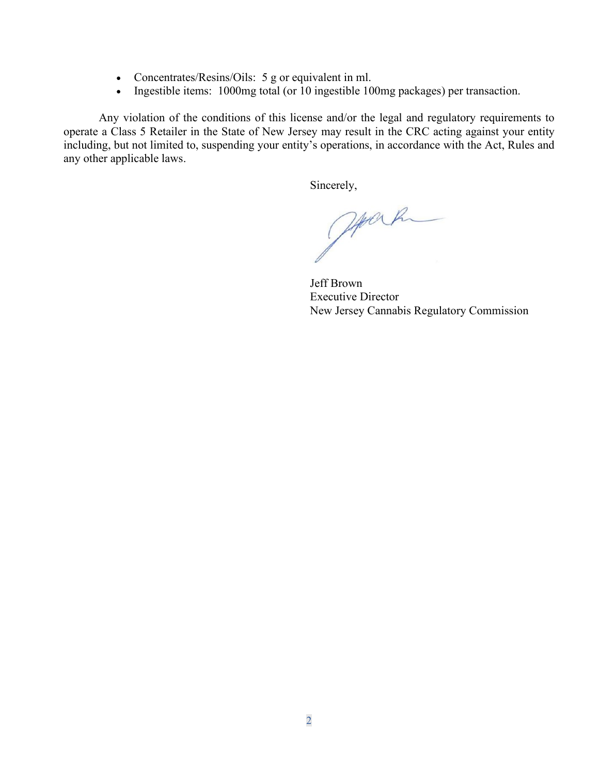- Concentrates/Resins/Oils: 5 g or equivalent in ml.
- Ingestible items: 1000mg total (or 10 ingestible 100mg packages) per transaction.

Any violation of the conditions of this license and/or the legal and regulatory requirements to operate a Class 5 Retailer in the State of New Jersey may result in the CRC acting against your entity including, but not limited to, suspending your entity's operations, in accordance with the Act, Rules and any other applicable laws.

Sincerely,

Joseph

Jeff Brown Executive Director New Jersey Cannabis Regulatory Commission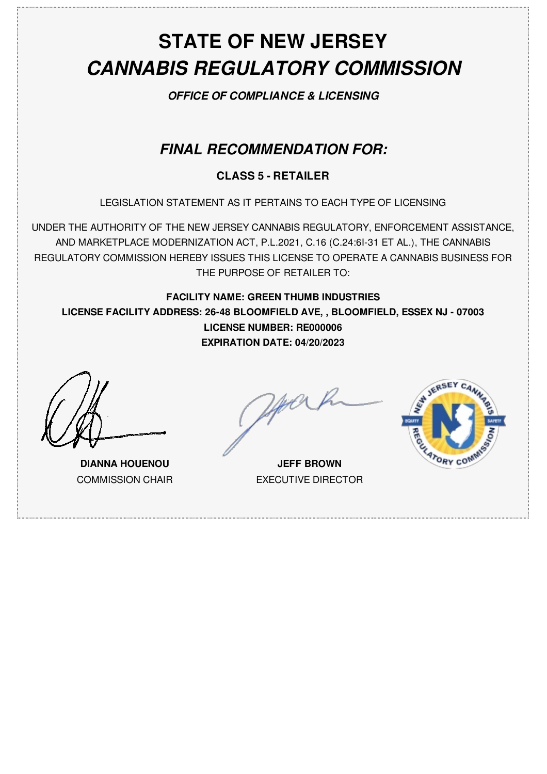# **STATE OF NEW JERSEY** *CANNABIS REGULATORY COMMISSION*

*OFFICE OF COMPLIANCE & LICENSING*

### *FINAL RECOMMENDATION FOR:*

#### **CLASS 5 - RETAILER**

LEGISLATION STATEMENT AS IT PERTAINS TO EACH TYPE OF LICENSING

UNDER THE AUTHORITY OF THE NEW JERSEY CANNABIS REGULATORY, ENFORCEMENT ASSISTANCE, AND MARKETPLACE MODERNIZATION ACT, P.L.2021, C.16 (C.24:6I-31 ET AL.), THE CANNABIS REGULATORY COMMISSION HEREBY ISSUES THIS LICENSE TO OPERATE A CANNABIS BUSINESS FOR THE PURPOSE OF RETAILER TO:

**FACILITY NAME: GREEN THUMB INDUSTRIES LICENSE FACILITY ADDRESS: 26-48 BLOOMFIELD AVE, , BLOOMFIELD, ESSEX NJ - 07003 LICENSE NUMBER: RE000006 EXPIRATION DATE: 04/20/2023**

**DIANNA HOUENOU** COMMISSION CHAIR

**JEFF BROWN** EXECUTIVE DIRECTOR